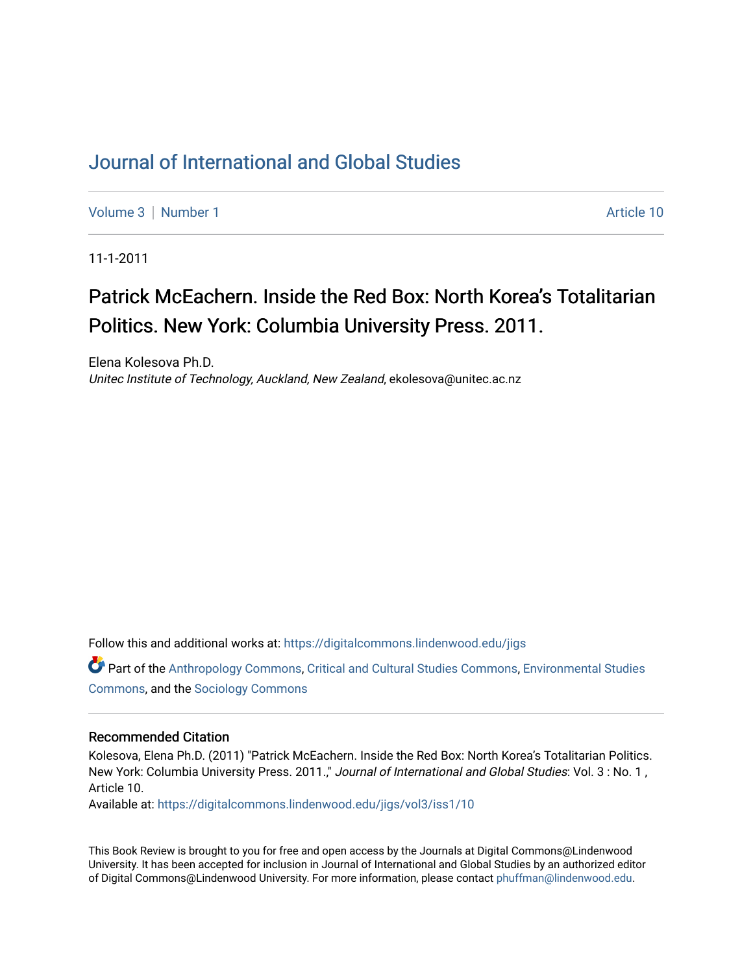## [Journal of International and Global Studies](https://digitalcommons.lindenwood.edu/jigs)

[Volume 3](https://digitalcommons.lindenwood.edu/jigs/vol3) | [Number 1](https://digitalcommons.lindenwood.edu/jigs/vol3/iss1) Article 10

11-1-2011

## Patrick McEachern. Inside the Red Box: North Korea's Totalitarian Politics. New York: Columbia University Press. 2011.

Elena Kolesova Ph.D. Unitec Institute of Technology, Auckland, New Zealand, ekolesova@unitec.ac.nz

Follow this and additional works at: [https://digitalcommons.lindenwood.edu/jigs](https://digitalcommons.lindenwood.edu/jigs?utm_source=digitalcommons.lindenwood.edu%2Fjigs%2Fvol3%2Fiss1%2F10&utm_medium=PDF&utm_campaign=PDFCoverPages) 

Part of the [Anthropology Commons](http://network.bepress.com/hgg/discipline/318?utm_source=digitalcommons.lindenwood.edu%2Fjigs%2Fvol3%2Fiss1%2F10&utm_medium=PDF&utm_campaign=PDFCoverPages), [Critical and Cultural Studies Commons](http://network.bepress.com/hgg/discipline/328?utm_source=digitalcommons.lindenwood.edu%2Fjigs%2Fvol3%2Fiss1%2F10&utm_medium=PDF&utm_campaign=PDFCoverPages), [Environmental Studies](http://network.bepress.com/hgg/discipline/1333?utm_source=digitalcommons.lindenwood.edu%2Fjigs%2Fvol3%2Fiss1%2F10&utm_medium=PDF&utm_campaign=PDFCoverPages)  [Commons](http://network.bepress.com/hgg/discipline/1333?utm_source=digitalcommons.lindenwood.edu%2Fjigs%2Fvol3%2Fiss1%2F10&utm_medium=PDF&utm_campaign=PDFCoverPages), and the [Sociology Commons](http://network.bepress.com/hgg/discipline/416?utm_source=digitalcommons.lindenwood.edu%2Fjigs%2Fvol3%2Fiss1%2F10&utm_medium=PDF&utm_campaign=PDFCoverPages)

## Recommended Citation

Kolesova, Elena Ph.D. (2011) "Patrick McEachern. Inside the Red Box: North Korea's Totalitarian Politics. New York: Columbia University Press. 2011.," Journal of International and Global Studies: Vol. 3 : No. 1 , Article 10.

Available at: [https://digitalcommons.lindenwood.edu/jigs/vol3/iss1/10](https://digitalcommons.lindenwood.edu/jigs/vol3/iss1/10?utm_source=digitalcommons.lindenwood.edu%2Fjigs%2Fvol3%2Fiss1%2F10&utm_medium=PDF&utm_campaign=PDFCoverPages) 

This Book Review is brought to you for free and open access by the Journals at Digital Commons@Lindenwood University. It has been accepted for inclusion in Journal of International and Global Studies by an authorized editor of Digital Commons@Lindenwood University. For more information, please contact [phuffman@lindenwood.edu](mailto:phuffman@lindenwood.edu).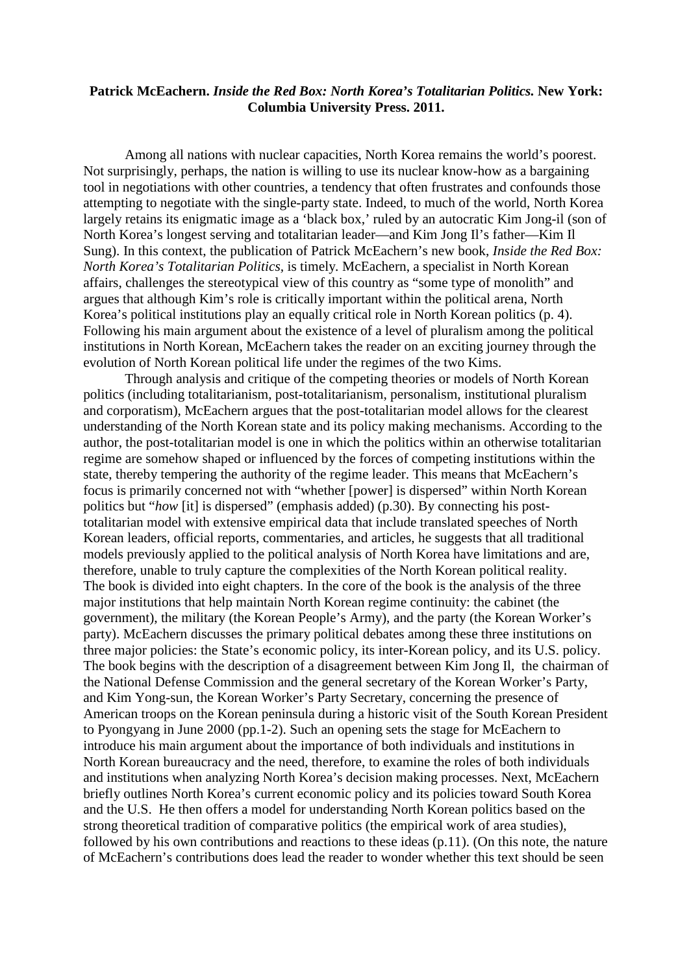## **Patrick McEachern.** *Inside the Red Box: North Korea's Totalitarian Politics.* **New York: Columbia University Press. 2011.**

Among all nations with nuclear capacities, North Korea remains the world's poorest. Not surprisingly, perhaps, the nation is willing to use its nuclear know-how as a bargaining tool in negotiations with other countries, a tendency that often frustrates and confounds those attempting to negotiate with the single-party state. Indeed, to much of the world, North Korea largely retains its enigmatic image as a 'black box,' ruled by an autocratic Kim Jong-il (son of North Korea's longest serving and totalitarian leader—and Kim Jong Il's father—Kim Il Sung). In this context, the publication of Patrick McEachern's new book, *Inside the Red Box: North Korea's Totalitarian Politics,* is timely*.* McEachern, a specialist in North Korean affairs, challenges the stereotypical view of this country as "some type of monolith" and argues that although Kim's role is critically important within the political arena, North Korea's political institutions play an equally critical role in North Korean politics (p. 4). Following his main argument about the existence of a level of pluralism among the political institutions in North Korean, McEachern takes the reader on an exciting journey through the evolution of North Korean political life under the regimes of the two Kims.

Through analysis and critique of the competing theories or models of North Korean politics (including totalitarianism, post-totalitarianism, personalism, institutional pluralism and corporatism), McEachern argues that the post-totalitarian model allows for the clearest understanding of the North Korean state and its policy making mechanisms. According to the author, the post-totalitarian model is one in which the politics within an otherwise totalitarian regime are somehow shaped or influenced by the forces of competing institutions within the state, thereby tempering the authority of the regime leader. This means that McEachern's focus is primarily concerned not with "whether [power] is dispersed" within North Korean politics but "*how* [it] is dispersed" (emphasis added) (p.30). By connecting his posttotalitarian model with extensive empirical data that include translated speeches of North Korean leaders, official reports, commentaries, and articles, he suggests that all traditional models previously applied to the political analysis of North Korea have limitations and are, therefore, unable to truly capture the complexities of the North Korean political reality. The book is divided into eight chapters. In the core of the book is the analysis of the three major institutions that help maintain North Korean regime continuity: the cabinet (the government), the military (the Korean People's Army), and the party (the Korean Worker's party). McEachern discusses the primary political debates among these three institutions on three major policies: the State's economic policy, its inter-Korean policy, and its U.S. policy. The book begins with the description of a disagreement between Kim Jong Il, the chairman of the National Defense Commission and the general secretary of the Korean Worker's Party, and Kim Yong-sun, the Korean Worker's Party Secretary, concerning the presence of American troops on the Korean peninsula during a historic visit of the South Korean President to Pyongyang in June 2000 (pp.1-2). Such an opening sets the stage for McEachern to introduce his main argument about the importance of both individuals and institutions in North Korean bureaucracy and the need, therefore, to examine the roles of both individuals and institutions when analyzing North Korea's decision making processes. Next, McEachern briefly outlines North Korea's current economic policy and its policies toward South Korea and the U.S. He then offers a model for understanding North Korean politics based on the strong theoretical tradition of comparative politics (the empirical work of area studies), followed by his own contributions and reactions to these ideas (p.11). (On this note, the nature of McEachern's contributions does lead the reader to wonder whether this text should be seen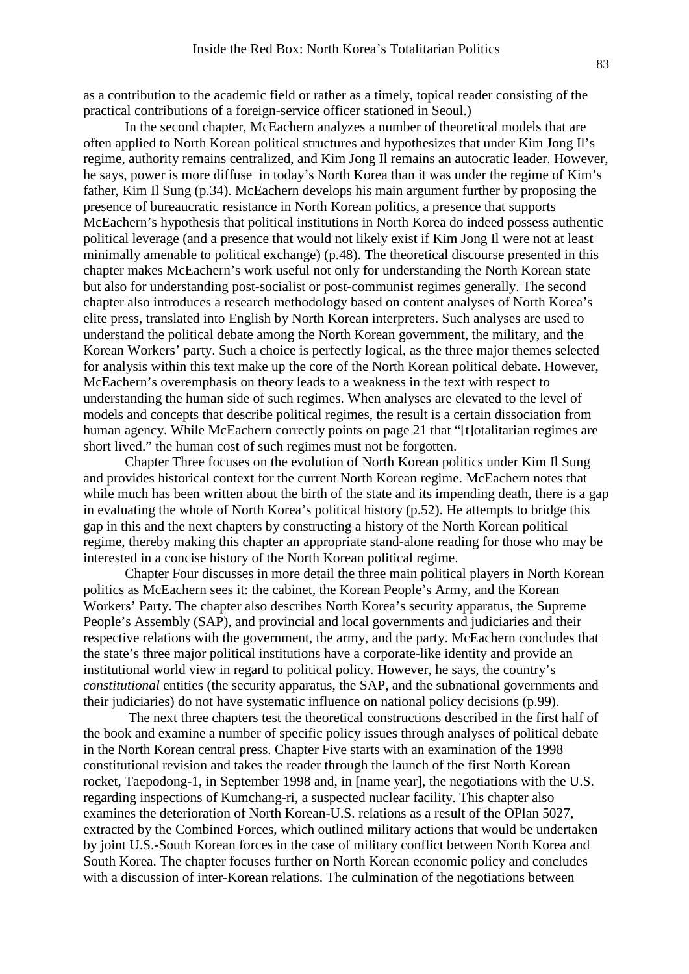as a contribution to the academic field or rather as a timely, topical reader consisting of the practical contributions of a foreign-service officer stationed in Seoul.)

In the second chapter, McEachern analyzes a number of theoretical models that are often applied to North Korean political structures and hypothesizes that under Kim Jong Il's regime, authority remains centralized, and Kim Jong Il remains an autocratic leader. However, he says, power is more diffuse in today's North Korea than it was under the regime of Kim's father, Kim Il Sung (p.34). McEachern develops his main argument further by proposing the presence of bureaucratic resistance in North Korean politics, a presence that supports McEachern's hypothesis that political institutions in North Korea do indeed possess authentic political leverage (and a presence that would not likely exist if Kim Jong Il were not at least minimally amenable to political exchange) (p.48). The theoretical discourse presented in this chapter makes McEachern's work useful not only for understanding the North Korean state but also for understanding post-socialist or post-communist regimes generally. The second chapter also introduces a research methodology based on content analyses of North Korea's elite press, translated into English by North Korean interpreters. Such analyses are used to understand the political debate among the North Korean government, the military, and the Korean Workers' party. Such a choice is perfectly logical, as the three major themes selected for analysis within this text make up the core of the North Korean political debate. However, McEachern's overemphasis on theory leads to a weakness in the text with respect to understanding the human side of such regimes. When analyses are elevated to the level of models and concepts that describe political regimes, the result is a certain dissociation from human agency. While McEachern correctly points on page 21 that "[t]otalitarian regimes are short lived." the human cost of such regimes must not be forgotten.

Chapter Three focuses on the evolution of North Korean politics under Kim Il Sung and provides historical context for the current North Korean regime. McEachern notes that while much has been written about the birth of the state and its impending death, there is a gap in evaluating the whole of North Korea's political history (p.52). He attempts to bridge this gap in this and the next chapters by constructing a history of the North Korean political regime, thereby making this chapter an appropriate stand-alone reading for those who may be interested in a concise history of the North Korean political regime.

Chapter Four discusses in more detail the three main political players in North Korean politics as McEachern sees it: the cabinet, the Korean People's Army, and the Korean Workers' Party. The chapter also describes North Korea's security apparatus, the Supreme People's Assembly (SAP), and provincial and local governments and judiciaries and their respective relations with the government, the army, and the party. McEachern concludes that the state's three major political institutions have a corporate-like identity and provide an institutional world view in regard to political policy. However, he says, the country's *constitutional* entities (the security apparatus, the SAP, and the subnational governments and their judiciaries) do not have systematic influence on national policy decisions (p.99).

 The next three chapters test the theoretical constructions described in the first half of the book and examine a number of specific policy issues through analyses of political debate in the North Korean central press. Chapter Five starts with an examination of the 1998 constitutional revision and takes the reader through the launch of the first North Korean rocket, Taepodong-1, in September 1998 and, in [name year], the negotiations with the U.S. regarding inspections of Kumchang-ri, a suspected nuclear facility. This chapter also examines the deterioration of North Korean-U.S. relations as a result of the OPlan 5027, extracted by the Combined Forces, which outlined military actions that would be undertaken by joint U.S.-South Korean forces in the case of military conflict between North Korea and South Korea. The chapter focuses further on North Korean economic policy and concludes with a discussion of inter-Korean relations. The culmination of the negotiations between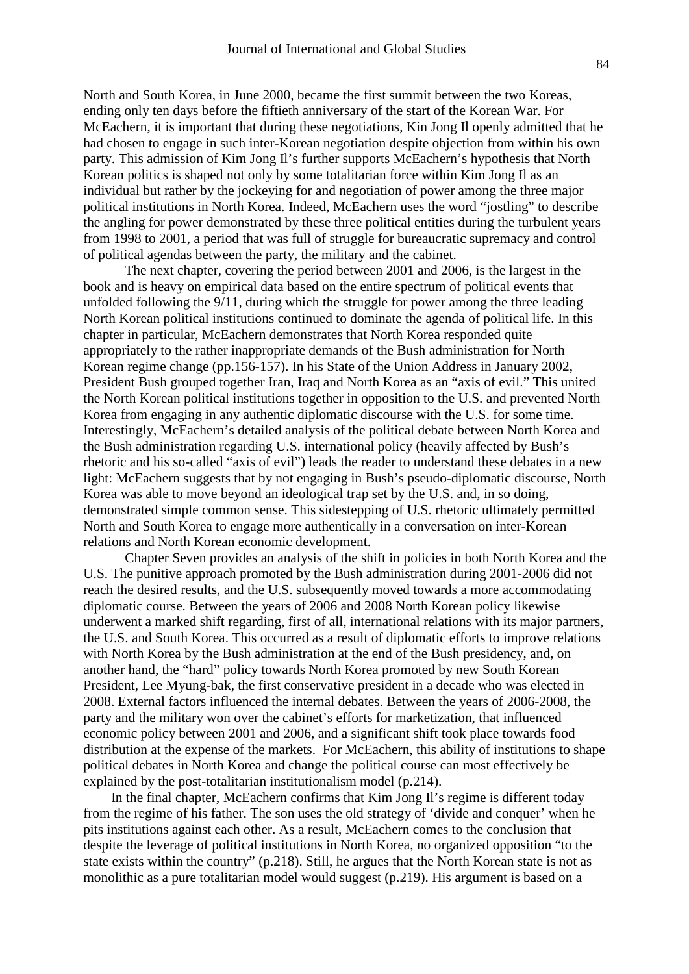North and South Korea, in June 2000, became the first summit between the two Koreas, ending only ten days before the fiftieth anniversary of the start of the Korean War. For McEachern, it is important that during these negotiations, Kin Jong Il openly admitted that he had chosen to engage in such inter-Korean negotiation despite objection from within his own party. This admission of Kim Jong Il's further supports McEachern's hypothesis that North Korean politics is shaped not only by some totalitarian force within Kim Jong Il as an individual but rather by the jockeying for and negotiation of power among the three major political institutions in North Korea. Indeed, McEachern uses the word "jostling" to describe the angling for power demonstrated by these three political entities during the turbulent years from 1998 to 2001, a period that was full of struggle for bureaucratic supremacy and control of political agendas between the party, the military and the cabinet.

The next chapter, covering the period between 2001 and 2006, is the largest in the book and is heavy on empirical data based on the entire spectrum of political events that unfolded following the 9/11, during which the struggle for power among the three leading North Korean political institutions continued to dominate the agenda of political life. In this chapter in particular, McEachern demonstrates that North Korea responded quite appropriately to the rather inappropriate demands of the Bush administration for North Korean regime change (pp.156-157). In his State of the Union Address in January 2002, President Bush grouped together Iran, Iraq and North Korea as an "axis of evil." This united the North Korean political institutions together in opposition to the U.S. and prevented North Korea from engaging in any authentic diplomatic discourse with the U.S. for some time. Interestingly, McEachern's detailed analysis of the political debate between North Korea and the Bush administration regarding U.S. international policy (heavily affected by Bush's rhetoric and his so-called "axis of evil") leads the reader to understand these debates in a new light: McEachern suggests that by not engaging in Bush's pseudo-diplomatic discourse, North Korea was able to move beyond an ideological trap set by the U.S. and, in so doing, demonstrated simple common sense. This sidestepping of U.S. rhetoric ultimately permitted North and South Korea to engage more authentically in a conversation on inter-Korean relations and North Korean economic development.

Chapter Seven provides an analysis of the shift in policies in both North Korea and the U.S. The punitive approach promoted by the Bush administration during 2001-2006 did not reach the desired results, and the U.S. subsequently moved towards a more accommodating diplomatic course. Between the years of 2006 and 2008 North Korean policy likewise underwent a marked shift regarding, first of all, international relations with its major partners, the U.S. and South Korea. This occurred as a result of diplomatic efforts to improve relations with North Korea by the Bush administration at the end of the Bush presidency, and, on another hand, the "hard" policy towards North Korea promoted by new South Korean President, Lee Myung-bak, the first conservative president in a decade who was elected in 2008. External factors influenced the internal debates. Between the years of 2006-2008, the party and the military won over the cabinet's efforts for marketization, that influenced economic policy between 2001 and 2006, and a significant shift took place towards food distribution at the expense of the markets. For McEachern, this ability of institutions to shape political debates in North Korea and change the political course can most effectively be explained by the post-totalitarian institutionalism model (p.214).

 In the final chapter, McEachern confirms that Kim Jong Il's regime is different today from the regime of his father. The son uses the old strategy of 'divide and conquer' when he pits institutions against each other. As a result, McEachern comes to the conclusion that despite the leverage of political institutions in North Korea, no organized opposition "to the state exists within the country" (p.218). Still, he argues that the North Korean state is not as monolithic as a pure totalitarian model would suggest (p.219). His argument is based on a